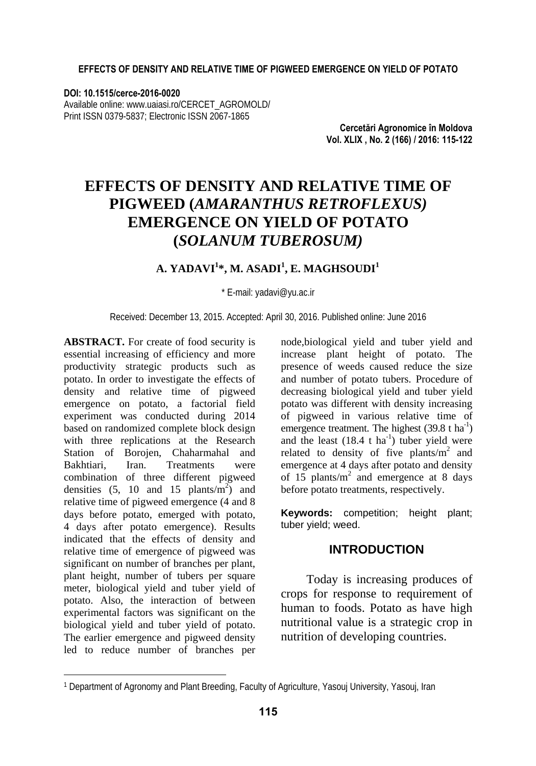#### **EFFECTS OF DENSITY AND RELATIVE TIME OF PIGWEED EMERGENCE ON YIELD OF POTATO**

#### **DOI: 10.1515/cerce-2016-0020**

Available online: www.uaiasi.ro/CERCET\_AGROMOLD/ Print ISSN 0379-5837; Electronic ISSN 2067-1865

> **Cercetări Agronomice în Moldova Vol. XLIX , No. 2 (166) / 2016: 115-122**

# **EFFECTS OF DENSITY AND RELATIVE TIME OF PIGWEED (***AMARANTHUS RETROFLEXUS)*  **EMERGENCE ON YIELD OF POTATO (***SOLANUM TUBEROSUM)*

#### **A. YADAVI1 \*, M. ASADI<sup>1</sup> , E. MAGHSOUDI1**

\* E-mail: yadavi@yu.ac.ir

Received: December 13, 2015. Accepted: April 30, 2016. Published online: June 2016

**ABSTRACT.** For create of food security is essential increasing of efficiency and more productivity strategic products such as potato. In order to investigate the effects of density and relative time of pigweed emergence on potato, a factorial field experiment was conducted during 2014 based on randomized complete block design with three replications at the Research Station of Borojen, Chaharmahal and Bakhtiari, Iran. Treatments were combination of three different pigweed densities  $(5, 10 \text{ and } 15 \text{ plants/m}^2)$  and relative time of pigweed emergence (4 and 8 days before potato, emerged with potato, 4 days after potato emergence). Results indicated that the effects of density and relative time of emergence of pigweed was significant on number of branches per plant, plant height, number of tubers per square meter, biological yield and tuber yield of potato. Also, the interaction of between experimental factors was significant on the biological yield and tuber yield of potato. The earlier emergence and pigweed density led to reduce number of branches per

l

node,biological yield and tuber yield and increase plant height of potato. The presence of weeds caused reduce the size and number of potato tubers. Procedure of decreasing biological yield and tuber yield potato was different with density increasing of pigweed in various relative time of emergence treatment. The highest  $(39.8 \text{ t} \text{ ha}^{-1})$ and the least  $(18.4 \text{ t} \text{ ha}^{-1})$  tuber yield were related to density of five plants/ $m^2$  and emergence at 4 days after potato and density of  $15$  plants/m<sup>2</sup> and emergence at 8 days before potato treatments, respectively.

**Keywords:** competition: height plant: tuber yield; weed.

#### **INTRODUCTION**

Today is increasing produces of crops for response to requirement of human to foods. Potato as have high nutritional value is a strategic crop in nutrition of developing countries.

<sup>1</sup> Department of Agronomy and Plant Breeding, Faculty of Agriculture, Yasouj University, Yasouj, Iran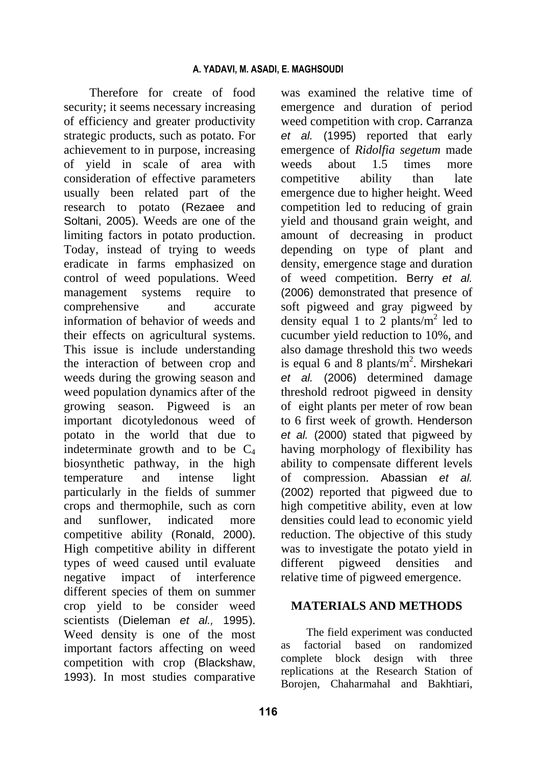Therefore for create of food security; it seems necessary increasing of efficiency and greater productivity strategic products, such as potato. For achievement to in purpose, increasing of yield in scale of area with consideration of effective parameters usually been related part of the research to potato (Rezaee and Soltani, 2005). Weeds are one of the limiting factors in potato production. Today, instead of trying to weeds eradicate in farms emphasized on control of weed populations. Weed management systems require to comprehensive and accurate information of behavior of weeds and their effects on agricultural systems. This issue is include understanding the interaction of between crop and weeds during the growing season and weed population dynamics after of the growing season. Pigweed is an important dicotyledonous weed of potato in the world that due to indeterminate growth and to be  $C_4$ biosynthetic pathway, in the high temperature and intense light particularly in the fields of summer crops and thermophile, such as corn and sunflower, indicated more competitive ability (Ronald, 2000). High competitive ability in different types of weed caused until evaluate negative impact of interference different species of them on summer crop yield to be consider weed scientists (Dieleman *et al.,* 1995). Weed density is one of the most important factors affecting on weed competition with crop (Blackshaw, 1993). In most studies comparative was examined the relative time of emergence and duration of period weed competition with crop. Carranza *et al.* (1995) reported that early emergence of *Ridolfia segetum* made weeds about 1.5 times more competitive ability than late emergence due to higher height. Weed competition led to reducing of grain yield and thousand grain weight, and amount of decreasing in product depending on type of plant and density, emergence stage and duration of weed competition. Berry *et al.* (2006) demonstrated that presence of soft pigweed and gray pigweed by density equal 1 to 2 plants/ $m^2$  led to cucumber yield reduction to 10%, and also damage threshold this two weeds is equal 6 and 8 plants/ $m^2$ . Mirshekari *et al.* (2006) determined damage threshold redroot pigweed in density of eight plants per meter of row bean to 6 first week of growth. Henderson *et al.* (2000) stated that pigweed by having morphology of flexibility has ability to compensate different levels of compression. Abassian *et al.* (2002) reported that pigweed due to high competitive ability, even at low densities could lead to economic yield reduction. The objective of this study was to investigate the potato yield in different pigweed densities and relative time of pigweed emergence.

#### **MATERIALS AND METHODS**

The field experiment was conducted as factorial based on randomized complete block design with three replications at the Research Station of Borojen, Chaharmahal and Bakhtiari,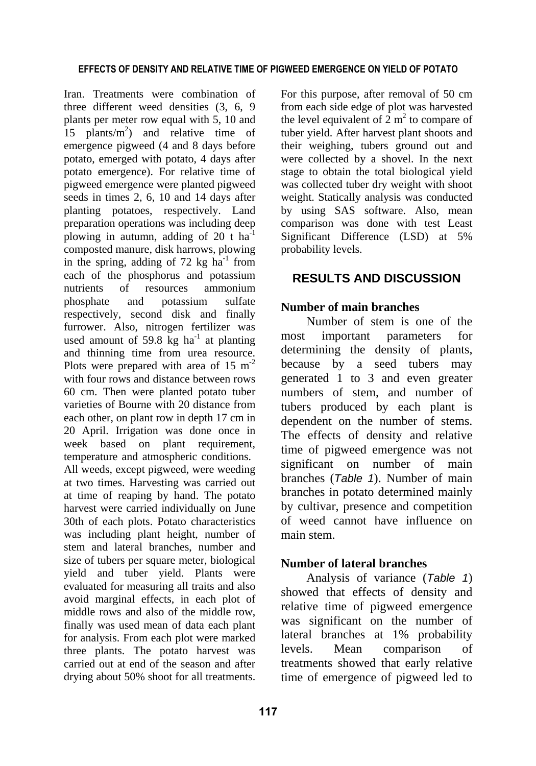Iran. Treatments were combination of three different weed densities (3, 6, 9 plants per meter row equal with 5, 10 and 15 plants/ $m<sup>2</sup>$  and relative time of emergence pigweed (4 and 8 days before potato, emerged with potato, 4 days after potato emergence). For relative time of pigweed emergence were planted pigweed seeds in times 2, 6, 10 and 14 days after planting potatoes, respectively. Land preparation operations was including deep plowing in autumn, adding of 20 t  $ha^{-1}$ composted manure, disk harrows, plowing in the spring, adding of 72 kg  $ha^{-1}$  from each of the phosphorus and potassium nutrients of resources ammonium phosphate and potassium sulfate respectively, second disk and finally furrower. Also, nitrogen fertilizer was used amount of 59.8 kg ha<sup>-1</sup> at planting and thinning time from urea resource. Plots were prepared with area of  $15 \text{ m}^{-2}$ with four rows and distance between rows 60 cm. Then were planted potato tuber varieties of Bourne with 20 distance from each other, on plant row in depth 17 cm in 20 April. Irrigation was done once in week based on plant requirement, temperature and atmospheric conditions. All weeds, except pigweed, were weeding

at two times. Harvesting was carried out at time of reaping by hand. The potato harvest were carried individually on June 30th of each plots. Potato characteristics was including plant height, number of stem and lateral branches, number and size of tubers per square meter, biological yield and tuber yield. Plants were evaluated for measuring all traits and also avoid marginal effects, in each plot of middle rows and also of the middle row, finally was used mean of data each plant for analysis. From each plot were marked three plants. The potato harvest was carried out at end of the season and after drying about 50% shoot for all treatments.

For this purpose, after removal of 50 cm from each side edge of plot was harvested the level equivalent of  $2 \text{ m}^2$  to compare of tuber yield. After harvest plant shoots and their weighing, tubers ground out and were collected by a shovel. In the next stage to obtain the total biological yield was collected tuber dry weight with shoot weight. Statically analysis was conducted by using SAS software. Also, mean comparison was done with test Least Significant Difference (LSD) at 5% probability levels.

## **RESULTS AND DISCUSSION**

## **Number of main branches**

Number of stem is one of the most important parameters for determining the density of plants, because by a seed tubers may generated 1 to 3 and even greater numbers of stem, and number of tubers produced by each plant is dependent on the number of stems. The effects of density and relative time of pigweed emergence was not significant on number of main branches (*Table 1*). Number of main branches in potato determined mainly by cultivar, presence and competition of weed cannot have influence on main stem.

## **Number of lateral branches**

Analysis of variance (*Table 1*) showed that effects of density and relative time of pigweed emergence was significant on the number of lateral branches at 1% probability levels. Mean comparison of treatments showed that early relative time of emergence of pigweed led to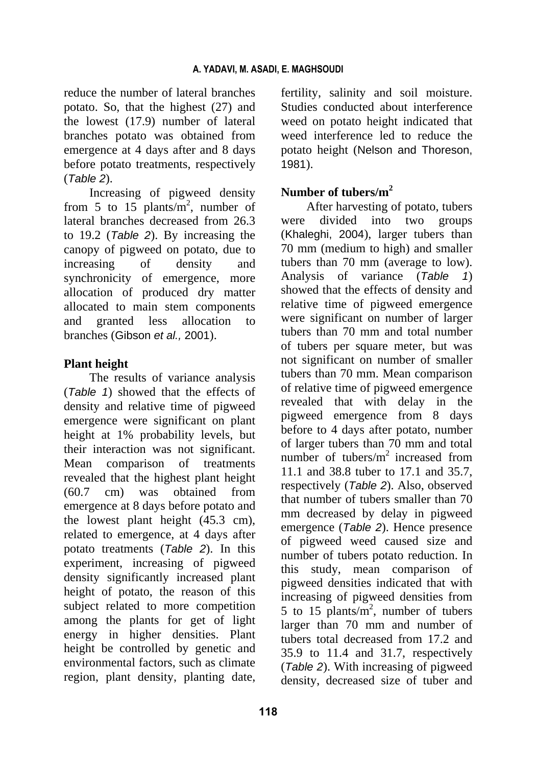reduce the number of lateral branches potato. So, that the highest (27) and the lowest (17.9) number of lateral branches potato was obtained from emergence at 4 days after and 8 days before potato treatments, respectively (*Table 2*).

Increasing of pigweed density from 5 to 15 plants/ $m^2$ , number of lateral branches decreased from 26.3 to 19.2 (*Table 2*). By increasing the canopy of pigweed on potato, due to increasing of density and synchronicity of emergence, more allocation of produced dry matter allocated to main stem components and granted less allocation to branches (Gibson *et al.,* 2001).

#### **Plant height**

The results of variance analysis (*Table 1*) showed that the effects of density and relative time of pigweed emergence were significant on plant height at 1% probability levels, but their interaction was not significant. Mean comparison of treatments revealed that the highest plant height (60.7 cm) was obtained from emergence at 8 days before potato and the lowest plant height (45.3 cm), related to emergence, at 4 days after potato treatments (*Table 2*). In this experiment, increasing of pigweed density significantly increased plant height of potato, the reason of this subject related to more competition among the plants for get of light energy in higher densities. Plant height be controlled by genetic and environmental factors, such as climate region, plant density, planting date, fertility, salinity and soil moisture. Studies conducted about interference weed on potato height indicated that weed interference led to reduce the potato height (Nelson and Thoreson, 1981).

## **Number of tubers/m2**

After harvesting of potato, tubers were divided into two groups (Khaleghi, 2004), larger tubers than 70 mm (medium to high) and smaller tubers than 70 mm (average to low). Analysis of variance (*Table 1*) showed that the effects of density and relative time of pigweed emergence were significant on number of larger tubers than 70 mm and total number of tubers per square meter, but was not significant on number of smaller tubers than 70 mm. Mean comparison of relative time of pigweed emergence revealed that with delay in the pigweed emergence from 8 days before to 4 days after potato, number of larger tubers than 70 mm and total number of tubers/ $m^2$  increased from 11.1 and 38.8 tuber to 17.1 and 35.7, respectively (*Table 2*). Also, observed that number of tubers smaller than 70 mm decreased by delay in pigweed emergence (*Table 2*). Hence presence of pigweed weed caused size and number of tubers potato reduction. In this study, mean comparison of pigweed densities indicated that with increasing of pigweed densities from 5 to 15 plants/ $m^2$ , number of tubers larger than 70 mm and number of tubers total decreased from 17.2 and 35.9 to 11.4 and 31.7, respectively (*Table 2*). With increasing of pigweed density, decreased size of tuber and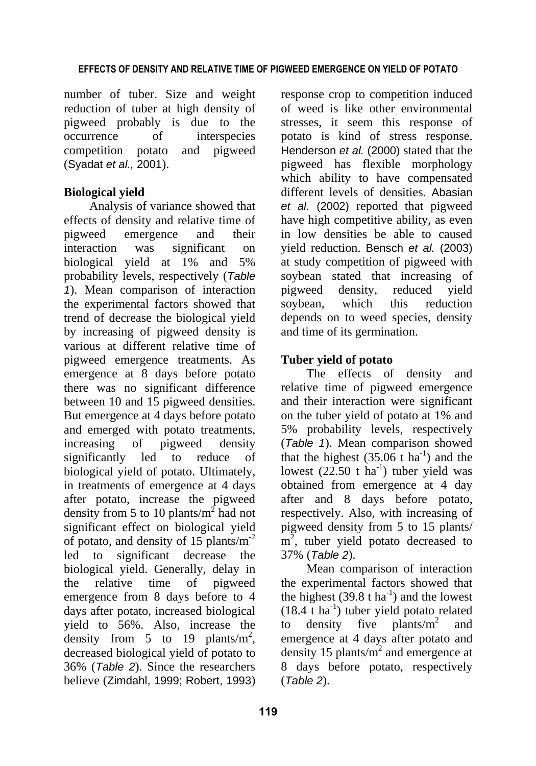#### **EFFECTS OF DENSITY AND RELATIVE TIME OF PIGWEED EMERGENCE ON YIELD OF POTATO**

number of tuber. Size and weight reduction of tuber at high density of pigweed probably is due to the occurrence of interspecies competition potato and pigweed (Syadat *et al.,* 2001).

#### **Biological yield**

Analysis of variance showed that effects of density and relative time of pigweed emergence and their interaction was significant on biological yield at 1% and 5% probability levels, respectively (*Table 1*). Mean comparison of interaction the experimental factors showed that trend of decrease the biological yield by increasing of pigweed density is various at different relative time of pigweed emergence treatments. As emergence at 8 days before potato there was no significant difference between 10 and 15 pigweed densities. But emergence at 4 days before potato and emerged with potato treatments, increasing of pigweed density significantly led to reduce of biological yield of potato. Ultimately, in treatments of emergence at 4 days after potato, increase the pigweed density from 5 to 10 plants/ $m^2$  had not significant effect on biological yield of potato, and density of 15 plants/ $m<sup>-2</sup>$ led to significant decrease the biological yield. Generally, delay in the relative time of pigweed emergence from 8 days before to 4 days after potato, increased biological yield to 56%. Also, increase the density from 5 to 19 plants/ $m^2$ , decreased biological yield of potato to 36% (*Table 2*). Since the researchers believe (Zimdahl, 1999; Robert, 1993)

response crop to competition induced of weed is like other environmental stresses, it seem this response of potato is kind of stress response. Henderson *et al.* (2000) stated that the pigweed has flexible morphology which ability to have compensated different levels of densities. Abasian *et al.* (2002) reported that pigweed have high competitive ability, as even in low densities be able to caused yield reduction. Bensch *et al.* (2003) at study competition of pigweed with soybean stated that increasing of pigweed density, reduced yield soybean, which this reduction depends on to weed species, density and time of its germination.

## **Tuber yield of potato**

The effects of density and relative time of pigweed emergence and their interaction were significant on the tuber yield of potato at 1% and 5% probability levels, respectively (*Table 1*). Mean comparison showed that the highest  $(35.06 \text{ t} \text{ ha}^{-1})$  and the lowest  $(22.50 \text{ t} \text{ ha}^{-1})$  tuber yield was obtained from emergence at 4 day after and 8 days before potato, respectively. Also, with increasing of pigweed density from 5 to 15 plants/  $\overline{m}^2$ , tuber yield potato decreased to 37% (*Table 2*).

Mean comparison of interaction the experimental factors showed that the highest  $(39.8 \text{ t} \text{ ha}^{-1})$  and the lowest  $(18.4 \text{ t} \text{ ha}^{-1})$  tuber yield potato related to density five plants/ $m^2$  and emergence at 4 days after potato and density 15 plants/ $m<sup>2</sup>$  and emergence at 8 days before potato, respectively (*Table 2*).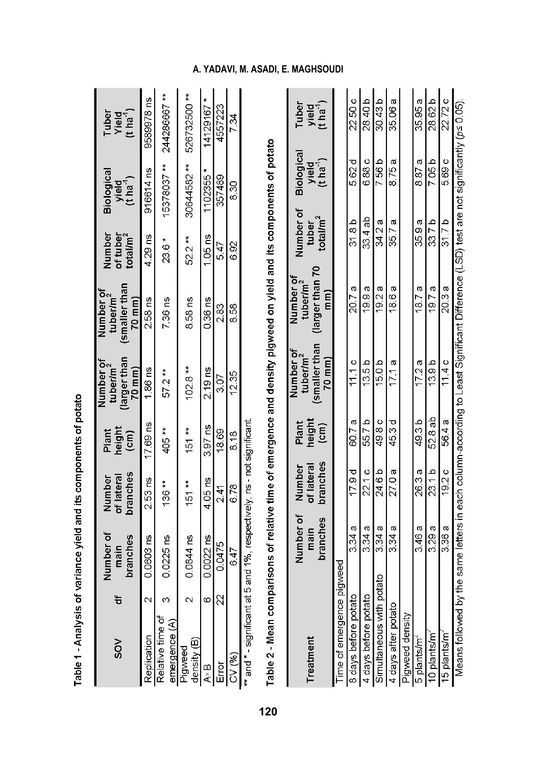| $\frac{8}{2}$                                                                                 | 늉                       | Number of<br>branches<br>main | branches<br>of lateral<br>Number | height<br>Plant<br>$\left( cm\right)$   | larger than<br>Number of<br>tuber/m <sup>2</sup><br>70 mm)  | (smaller than<br>Number of<br>tuber/m <sup>2</sup><br>70 mm                                                          | Number<br>of tuber<br>total/m <sup>2</sup> | <b>Biologica</b><br>yield<br>(t ha <sup>-1</sup> ) | Yield<br>(t ha <sup>-1</sup> )<br>Tuber |
|-----------------------------------------------------------------------------------------------|-------------------------|-------------------------------|----------------------------------|-----------------------------------------|-------------------------------------------------------------|----------------------------------------------------------------------------------------------------------------------|--------------------------------------------|----------------------------------------------------|-----------------------------------------|
| Replication                                                                                   | $\sim$                  | 0.0603 ns                     | $2.53$ ns                        | 17.69 ns                                | 1.86 ns                                                     | 2.58 ns                                                                                                              | 4.29 ns                                    | 916614 ns                                          | 9589978 ns                              |
| Relative time of<br>emergence $(A)$                                                           | ო                       | $0.0225$ ns                   | $136**$                          | 405 **                                  | $57.2**$                                                    | 736 ns                                                                                                               | ×<br>23.6                                  | 15378037**                                         | 244286667**                             |
| density (B)<br>Pigweed                                                                        | $\overline{\mathsf{c}}$ | 0.0844 ns                     | $151**$                          | 151 **                                  | $102.8**$                                                   | 8.58 ns                                                                                                              | 52.2**                                     | 30644582**                                         | 526732500**                             |
| $A \times B$                                                                                  | 6                       | $0.0022$ ns                   | $4.05$ ns                        | 3.97 ns                                 | $2.19$ ns                                                   | 0.36 ns                                                                                                              | $1.05$ ns                                  | 1102355                                            | 14129167*                               |
| Error                                                                                         | 22                      | 0.0475                        | 241                              | 18.69                                   | 3.07                                                        | 283                                                                                                                  | 547                                        | 357489                                             | 4557223                                 |
| CV (%)                                                                                        |                         | 6.47                          | 6.78                             | 8.18                                    | 12.35                                                       | 8.58                                                                                                                 | 6.92                                       | 8.30                                               | 7.34                                    |
| ** and * - significant at 5 and 1%, respectively; ns - not significant<br>Table 2 - Mean comp |                         |                               |                                  |                                         |                                                             | arisons of relative time of emergence and density pigweed on yield and its components of potato                      |                                            |                                                    |                                         |
| Treatment                                                                                     |                         | Number of<br>branches<br>main | branches<br>of lateral<br>Number | height<br>Plant<br>$\widehat{\epsilon}$ | (smaller than<br>Number of<br>tuber/m <sup>2</sup><br>70 mm | larger than 70<br>Number of<br>tuber/m <sup>2</sup><br>$\binom{m}{k}$                                                | Number of<br>total/ $m2$<br>tubei          | Biologica<br>$(t'$ ha <sup>-1</sup> )<br>yield     | Tuber<br>$(t \text{ ha}^1)$<br>yield    |
| Time of emergence p                                                                           |                         | lgweed                        |                                  |                                         |                                                             |                                                                                                                      |                                            |                                                    |                                         |
| 8 days before potato                                                                          |                         | 3.34 a                        | 179 d                            | 60.7a                                   | 11.1c                                                       | 207a                                                                                                                 | 31.8 b                                     | 5.62 d                                             | 22.50 c                                 |
| 4 days before potato                                                                          |                         | 3.34a                         | 22.1c                            | 55.7 b                                  | 13.5 b                                                      | 19.9a                                                                                                                | 33.4 ab                                    | 6.88 c                                             | 28.40 b                                 |
| Simultaneous with po                                                                          |                         | 3.34a<br>dio                  | 24.6 b                           | 49.8 c                                  | 15.0 b                                                      | 19.2 a                                                                                                               | 34.2 a                                     | 7.56 b                                             | 30.43 <sub>b</sub>                      |
| 4 days after potato                                                                           |                         | 3.34a                         | 27.0 a                           | 45.3 d                                  | 17.1 a                                                      | 186 a                                                                                                                | 35.7 a                                     | 8.75 a                                             | 35.06 a                                 |
| Pigweed density                                                                               |                         |                               |                                  |                                         |                                                             |                                                                                                                      |                                            |                                                    |                                         |
| 5 plants/m <sup>-</sup>                                                                       |                         | 3.46a                         | 26 3 a                           | 49.3 b                                  | 17.2a                                                       | σ<br>18.7                                                                                                            | 35.9 a                                     | 8.87a                                              | 35.95 a                                 |
| 10 plants/m                                                                                   |                         | 3.29a                         | 23.1 b                           | 52.8ab                                  | 13.9 <sub>b</sub>                                           | 197a                                                                                                                 | 33.7 <sub>b</sub>                          | 7.05 b                                             | 28.62 b                                 |
| 15 plants/m <sup>2</sup>                                                                      |                         | 3.36 a                        | 19.2c                            | 56.4 a                                  | 11.4c                                                       | 20 3 a                                                                                                               | 31.7 b                                     | 5.69 c                                             | 22.72 c                                 |
| Means followed by                                                                             |                         |                               |                                  |                                         |                                                             | the same letters in each column-according to Least Significant Difference (LSD) test are not significantly (p≤ 0.05) |                                            |                                                    |                                         |

Table 1 - Analysis of variance yield and its components of potato

# **A. YADAVI, M. ASADI, E. MAGHSOUDI**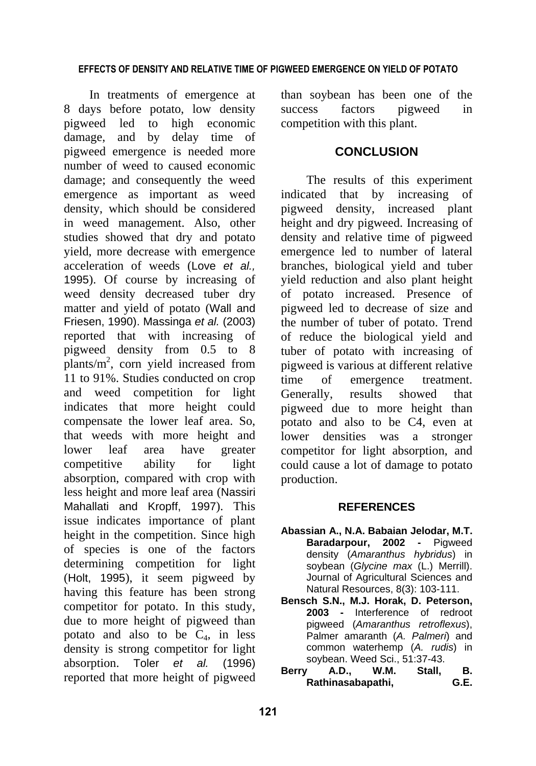#### **EFFECTS OF DENSITY AND RELATIVE TIME OF PIGWEED EMERGENCE ON YIELD OF POTATO**

In treatments of emergence at 8 days before potato, low density pigweed led to high economic damage, and by delay time of pigweed emergence is needed more number of weed to caused economic damage; and consequently the weed emergence as important as weed density, which should be considered in weed management. Also, other studies showed that dry and potato yield, more decrease with emergence acceleration of weeds (Love *et al.,* 1995). Of course by increasing of weed density decreased tuber dry matter and yield of potato (Wall and Friesen, 1990). Massinga *et al.* (2003) reported that with increasing of pigweed density from 0.5 to 8  $plants/m<sup>2</sup>$ , corn yield increased from 11 to 91%. Studies conducted on crop and weed competition for light indicates that more height could compensate the lower leaf area. So, that weeds with more height and lower leaf area have greater competitive ability for light absorption, compared with crop with less height and more leaf area (Nassiri Mahallati and Kropff, 1997). This issue indicates importance of plant height in the competition. Since high of species is one of the factors determining competition for light (Holt, 1995), it seem pigweed by having this feature has been strong competitor for potato. In this study, due to more height of pigweed than potato and also to be  $C_4$ , in less density is strong competitor for light absorption. Toler *et al.* (1996) reported that more height of pigweed

than soybean has been one of the success factors pigweed in competition with this plant.

#### **CONCLUSION**

The results of this experiment indicated that by increasing of pigweed density, increased plant height and dry pigweed. Increasing of density and relative time of pigweed emergence led to number of lateral branches, biological yield and tuber yield reduction and also plant height of potato increased. Presence of pigweed led to decrease of size and the number of tuber of potato. Trend of reduce the biological yield and tuber of potato with increasing of pigweed is various at different relative time of emergence treatment. Generally, results showed that pigweed due to more height than potato and also to be C4, even at lower densities was a stronger competitor for light absorption, and could cause a lot of damage to potato production.

#### **REFERENCES**

- **Abassian A., N.A. Babaian Jelodar, M.T. Baradarpour, 2002 -** Pigweed density (*Amaranthus hybridus*) in soybean (*Glycine max* (L.) Merrill). Journal of Agricultural Sciences and Natural Resources, 8(3): 103-111.
- **Bensch S.N., M.J. Horak, D. Peterson, 2003 -** Interference of redroot pigweed (*Amaranthus retroflexus*), Palmer amaranth (*A. Palmeri*) and common waterhemp (*A. rudis*) in soybean. Weed Sci., 51:37-43.<br>**Berry A.D.. W.M. Stall,**
- **Berry A.D., W.M. Stall, B. Rathinasabapathi, G.E.**